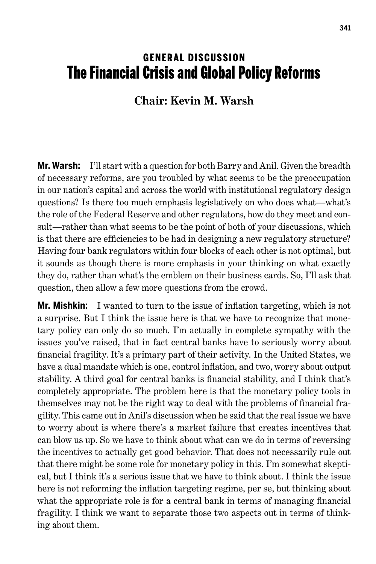## **GENERAL DISCUSSION** The Financial Crisis and Global Policy Reforms

## **Chair: Kevin M. Warsh**

**Mr. Warsh:** I'll start with a question for both Barry and Anil. Given the breadth of necessary reforms, are you troubled by what seems to be the preoccupation in our nation's capital and across the world with institutional regulatory design questions? Is there too much emphasis legislatively on who does what—what's the role of the Federal Reserve and other regulators, how do they meet and consult—rather than what seems to be the point of both of your discussions, which is that there are efficiencies to be had in designing a new regulatory structure? Having four bank regulators within four blocks of each other is not optimal, but it sounds as though there is more emphasis in your thinking on what exactly they do, rather than what's the emblem on their business cards. So, I'll ask that question, then allow a few more questions from the crowd.

**Mr. Mishkin:** I wanted to turn to the issue of inflation targeting, which is not a surprise. But I think the issue here is that we have to recognize that monetary policy can only do so much. I'm actually in complete sympathy with the issues you've raised, that in fact central banks have to seriously worry about financial fragility. It's a primary part of their activity. In the United States, we have a dual mandate which is one, control inflation, and two, worry about output stability. A third goal for central banks is financial stability, and I think that's completely appropriate. The problem here is that the monetary policy tools in themselves may not be the right way to deal with the problems of financial fragility. This came out in Anil's discussion when he said that the real issue we have to worry about is where there's a market failure that creates incentives that can blow us up. So we have to think about what can we do in terms of reversing the incentives to actually get good behavior. That does not necessarily rule out that there might be some role for monetary policy in this. I'm somewhat skeptical, but I think it's a serious issue that we have to think about. I think the issue here is not reforming the inflation targeting regime, per se, but thinking about what the appropriate role is for a central bank in terms of managing financial fragility. I think we want to separate those two aspects out in terms of thinking about them.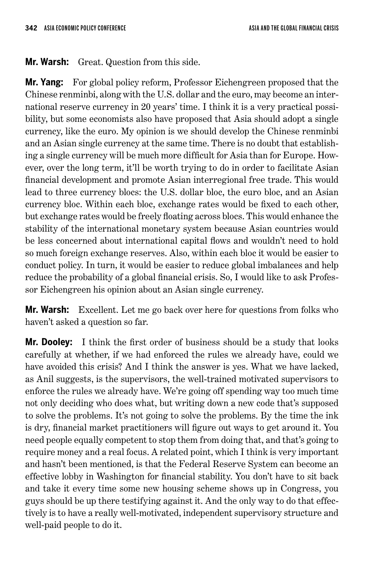**Mr. Warsh:** Great. Question from this side.

**Mr. Yang:** For global policy reform, Professor Eichengreen proposed that the Chinese renminbi, along with the U.S. dollar and the euro, may become an international reserve currency in 20 years' time. I think it is a very practical possibility, but some economists also have proposed that Asia should adopt a single currency, like the euro. My opinion is we should develop the Chinese renminbi and an Asian single currency at the same time. There is no doubt that establishing a single currency will be much more difficult for Asia than for Europe. However, over the long term, it'll be worth trying to do in order to facilitate Asian financial development and promote Asian interregional free trade. This would lead to three currency blocs: the U.S. dollar bloc, the euro bloc, and an Asian currency bloc. Within each bloc, exchange rates would be fixed to each other, but exchange rates would be freely floating across blocs. This would enhance the stability of the international monetary system because Asian countries would be less concerned about international capital flows and wouldn't need to hold so much foreign exchange reserves. Also, within each bloc it would be easier to conduct policy. In turn, it would be easier to reduce global imbalances and help reduce the probability of a global financial crisis. So, I would like to ask Professor Eichengreen his opinion about an Asian single currency.

**Mr. Warsh:** Excellent. Let me go back over here for questions from folks who haven't asked a question so far.

**Mr. Dooley:** I think the first order of business should be a study that looks carefully at whether, if we had enforced the rules we already have, could we have avoided this crisis? And I think the answer is yes. What we have lacked, as Anil suggests, is the supervisors, the well-trained motivated supervisors to enforce the rules we already have. We're going off spending way too much time not only deciding who does what, but writing down a new code that's supposed to solve the problems. It's not going to solve the problems. By the time the ink is dry, financial market practitioners will figure out ways to get around it. You need people equally competent to stop them from doing that, and that's going to require money and a real focus. A related point, which I think is very important and hasn't been mentioned, is that the Federal Reserve System can become an effective lobby in Washington for financial stability. You don't have to sit back and take it every time some new housing scheme shows up in Congress, you guys should be up there testifying against it. And the only way to do that effectively is to have a really well-motivated, independent supervisory structure and well-paid people to do it.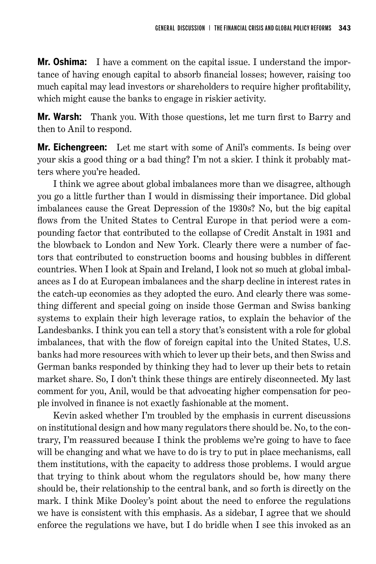**Mr. Oshima:** I have a comment on the capital issue. I understand the importance of having enough capital to absorb financial losses; however, raising too much capital may lead investors or shareholders to require higher profitability, which might cause the banks to engage in riskier activity.

**Mr. Warsh:** Thank you. With those questions, let me turn first to Barry and then to Anil to respond.

**Mr. Eichengreen:** Let me start with some of Anil's comments. Is being over your skis a good thing or a bad thing? I'm not a skier. I think it probably matters where you're headed.

I think we agree about global imbalances more than we disagree, although you go a little further than I would in dismissing their importance. Did global imbalances cause the Great Depression of the 1930s? No, but the big capital flows from the United States to Central Europe in that period were a compounding factor that contributed to the collapse of Credit Anstalt in 1931 and the blowback to London and New York. Clearly there were a number of factors that contributed to construction booms and housing bubbles in different countries. When I look at Spain and Ireland, I look not so much at global imbalances as I do at European imbalances and the sharp decline in interest rates in the catch-up economies as they adopted the euro. And clearly there was something different and special going on inside those German and Swiss banking systems to explain their high leverage ratios, to explain the behavior of the Landesbanks. I think you can tell a story that's consistent with a role for global imbalances, that with the flow of foreign capital into the United States, U.S. banks had more resources with which to lever up their bets, and then Swiss and German banks responded by thinking they had to lever up their bets to retain market share. So, I don't think these things are entirely disconnected. My last comment for you, Anil, would be that advocating higher compensation for people involved in finance is not exactly fashionable at the moment.

Kevin asked whether I'm troubled by the emphasis in current discussions on institutional design and how many regulators there should be. No, to the contrary, I'm reassured because I think the problems we're going to have to face will be changing and what we have to do is try to put in place mechanisms, call them institutions, with the capacity to address those problems. I would argue that trying to think about whom the regulators should be, how many there should be, their relationship to the central bank, and so forth is directly on the mark. I think Mike Dooley's point about the need to enforce the regulations we have is consistent with this emphasis. As a sidebar, I agree that we should enforce the regulations we have, but I do bridle when I see this invoked as an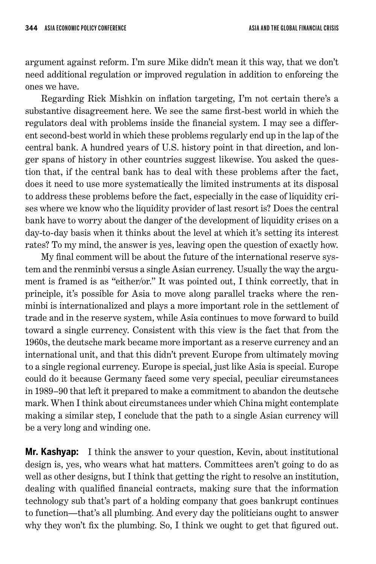argument against reform. I'm sure Mike didn't mean it this way, that we don't need additional regulation or improved regulation in addition to enforcing the ones we have.

Regarding Rick Mishkin on inflation targeting, I'm not certain there's a substantive disagreement here. We see the same first-best world in which the regulators deal with problems inside the financial system. I may see a different second-best world in which these problems regularly end up in the lap of the central bank. A hundred years of U.S. history point in that direction, and longer spans of history in other countries suggest likewise. You asked the question that, if the central bank has to deal with these problems after the fact, does it need to use more systematically the limited instruments at its disposal to address these problems before the fact, especially in the case of liquidity crises where we know who the liquidity provider of last resort is? Does the central bank have to worry about the danger of the development of liquidity crises on a day-to-day basis when it thinks about the level at which it's setting its interest rates? To my mind, the answer is yes, leaving open the question of exactly how.

My final comment will be about the future of the international reserve system and the renminbi versus a single Asian currency. Usually the way the argument is framed is as "either/or." It was pointed out, I think correctly, that in principle, it's possible for Asia to move along parallel tracks where the renminbi is internationalized and plays a more important role in the settlement of trade and in the reserve system, while Asia continues to move forward to build toward a single currency. Consistent with this view is the fact that from the 1960s, the deutsche mark became more important as a reserve currency and an international unit, and that this didn't prevent Europe from ultimately moving to a single regional currency. Europe is special, just like Asia is special. Europe could do it because Germany faced some very special, peculiar circumstances in 1989–90 that left it prepared to make a commitment to abandon the deutsche mark. When I think about circumstances under which China might contemplate making a similar step, I conclude that the path to a single Asian currency will be a very long and winding one.

**Mr. Kashyap:** I think the answer to your question, Kevin, about institutional design is, yes, who wears what hat matters. Committees aren't going to do as well as other designs, but I think that getting the right to resolve an institution, dealing with qualified financial contracts, making sure that the information technology sub that's part of a holding company that goes bankrupt continues to function—that's all plumbing. And every day the politicians ought to answer why they won't fix the plumbing. So, I think we ought to get that figured out.